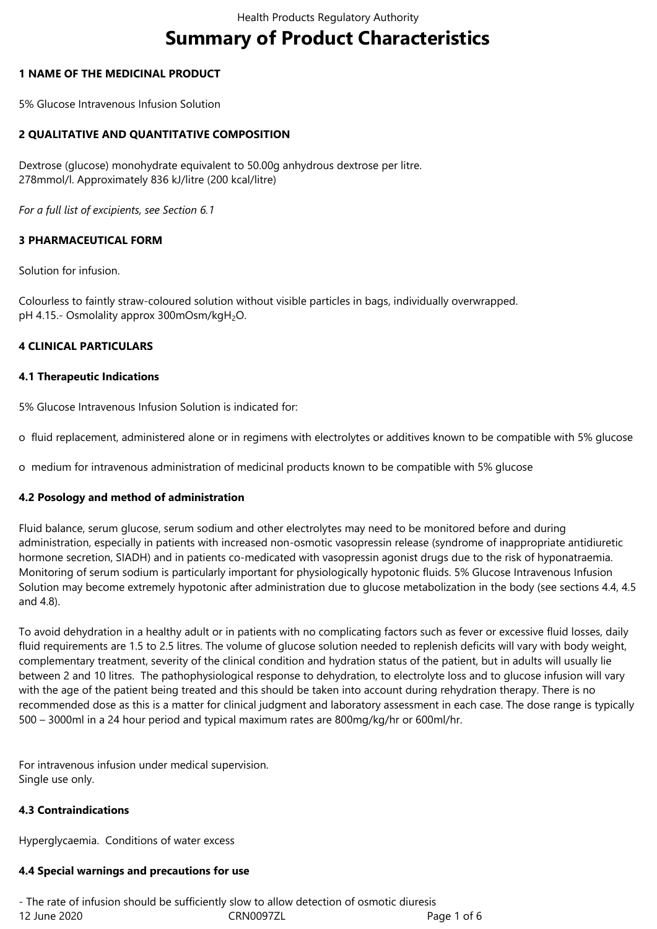# **Summary of Product Characteristics**

# **1 NAME OF THE MEDICINAL PRODUCT**

5% Glucose Intravenous Infusion Solution

# **2 QUALITATIVE AND QUANTITATIVE COMPOSITION**

Dextrose (glucose) monohydrate equivalent to 50.00g anhydrous dextrose per litre. 278mmol/l. Approximately 836 kJ/litre (200 kcal/litre)

*For a full list of excipients, see Section 6.1*

# **3 PHARMACEUTICAL FORM**

Solution for infusion.

Colourless to faintly straw-coloured solution without visible particles in bags, individually overwrapped. pH 4.15.- Osmolality approx 300mOsm/kgH<sub>2</sub>O.

### **4 CLINICAL PARTICULARS**

### **4.1 Therapeutic Indications**

5% Glucose Intravenous Infusion Solution is indicated for:

o fluid replacement, administered alone or in regimens with electrolytes or additives known to be compatible with 5% glucose

o medium for intravenous administration of medicinal products known to be compatible with 5% glucose

### **4.2 Posology and method of administration**

Fluid balance, serum glucose, serum sodium and other electrolytes may need to be monitored before and during administration, especially in patients with increased non-osmotic vasopressin release (syndrome of inappropriate antidiuretic hormone secretion, SIADH) and in patients co-medicated with vasopressin agonist drugs due to the risk of hyponatraemia. Monitoring of serum sodium is particularly important for physiologically hypotonic fluids. 5% Glucose Intravenous Infusion Solution may become extremely hypotonic after administration due to glucose metabolization in the body (see sections 4.4, 4.5 and 4.8).

To avoid dehydration in a healthy adult or in patients with no complicating factors such as fever or excessive fluid losses, daily fluid requirements are 1.5 to 2.5 litres. The volume of glucose solution needed to replenish deficits will vary with body weight, complementary treatment, severity of the clinical condition and hydration status of the patient, but in adults will usually lie between 2 and 10 litres. The pathophysiological response to dehydration, to electrolyte loss and to glucose infusion will vary with the age of the patient being treated and this should be taken into account during rehydration therapy. There is no recommended dose as this is a matter for clinical judgment and laboratory assessment in each case. The dose range is typically 500 – 3000ml in a 24 hour period and typical maximum rates are 800mg/kg/hr or 600ml/hr.

For intravenous infusion under medical supervision. Single use only.

### **4.3 Contraindications**

Hyperglycaemia. Conditions of water excess

### **4.4 Special warnings and precautions for use**

12 June 2020 **CRN0097ZL** Page 1 of 6 - The rate of infusion should be sufficiently slow to allow detection of osmotic diuresis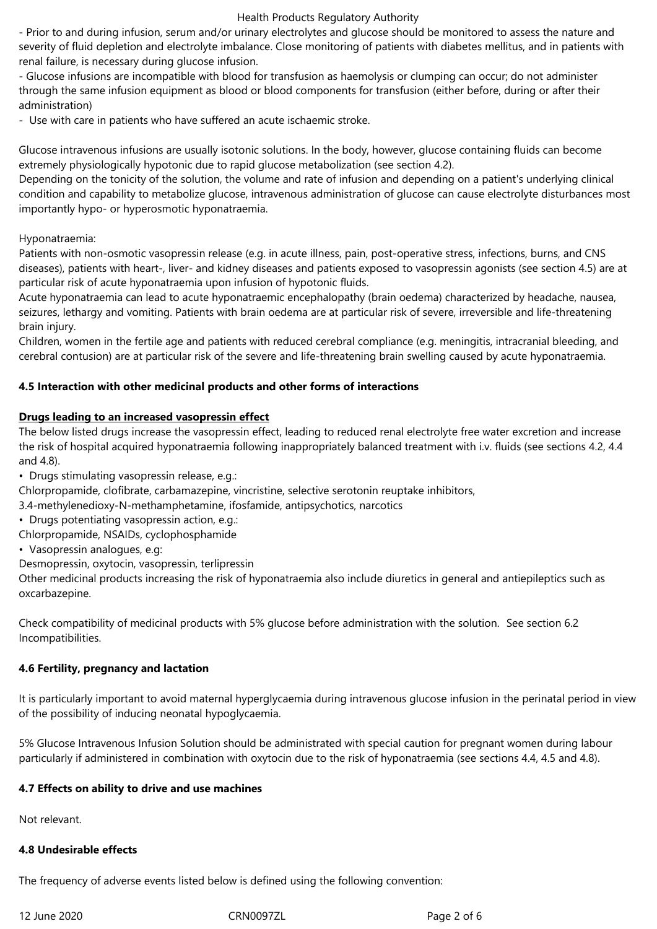#### Health Products Regulatory Authority

- Prior to and during infusion, serum and/or urinary electrolytes and glucose should be monitored to assess the nature and severity of fluid depletion and electrolyte imbalance. Close monitoring of patients with diabetes mellitus, and in patients with renal failure, is necessary during glucose infusion.

- Glucose infusions are incompatible with blood for transfusion as haemolysis or clumping can occur; do not administer through the same infusion equipment as blood or blood components for transfusion (either before, during or after their administration)

- Use with care in patients who have suffered an acute ischaemic stroke.

Glucose intravenous infusions are usually isotonic solutions. In the body, however, glucose containing fluids can become extremely physiologically hypotonic due to rapid glucose metabolization (see section 4.2).

Depending on the tonicity of the solution, the volume and rate of infusion and depending on a patient's underlying clinical condition and capability to metabolize glucose, intravenous administration of glucose can cause electrolyte disturbances most importantly hypo- or hyperosmotic hyponatraemia.

# Hyponatraemia:

Patients with non-osmotic vasopressin release (e.g. in acute illness, pain, post-operative stress, infections, burns, and CNS diseases), patients with heart-, liver- and kidney diseases and patients exposed to vasopressin agonists (see section 4.5) are at particular risk of acute hyponatraemia upon infusion of hypotonic fluids.

Acute hyponatraemia can lead to acute hyponatraemic encephalopathy (brain oedema) characterized by headache, nausea, seizures, lethargy and vomiting. Patients with brain oedema are at particular risk of severe, irreversible and life-threatening brain injury.

Children, women in the fertile age and patients with reduced cerebral compliance (e.g. meningitis, intracranial bleeding, and cerebral contusion) are at particular risk of the severe and life-threatening brain swelling caused by acute hyponatraemia.

# **4.5 Interaction with other medicinal products and other forms of interactions**

### **Drugs leading to an increased vasopressin effect**

The below listed drugs increase the vasopressin effect, leading to reduced renal electrolyte free water excretion and increase the risk of hospital acquired hyponatraemia following inappropriately balanced treatment with i.v. fluids (see sections 4.2, 4.4 and 4.8).

• Drugs stimulating vasopressin release, e.g.:

Chlorpropamide, clofibrate, carbamazepine, vincristine, selective serotonin reuptake inhibitors,

3.4-methylenedioxy-N-methamphetamine, ifosfamide, antipsychotics, narcotics

• Drugs potentiating vasopressin action, e.g.:

Chlorpropamide, NSAIDs, cyclophosphamide

• Vasopressin analogues, e.g:

Desmopressin, oxytocin, vasopressin, terlipressin

Other medicinal products increasing the risk of hyponatraemia also include diuretics in general and antiepileptics such as oxcarbazepine.

Check compatibility of medicinal products with 5% glucose before administration with the solution. See section 6.2 Incompatibilities.

# **4.6 Fertility, pregnancy and lactation**

It is particularly important to avoid maternal hyperglycaemia during intravenous glucose infusion in the perinatal period in view of the possibility of inducing neonatal hypoglycaemia.

5% Glucose Intravenous Infusion Solution should be administrated with special caution for pregnant women during labour particularly if administered in combination with oxytocin due to the risk of hyponatraemia (see sections 4.4, 4.5 and 4.8).

### **4.7 Effects on ability to drive and use machines**

Not relevant.

## **4.8 Undesirable effects**

The frequency of adverse events listed below is defined using the following convention: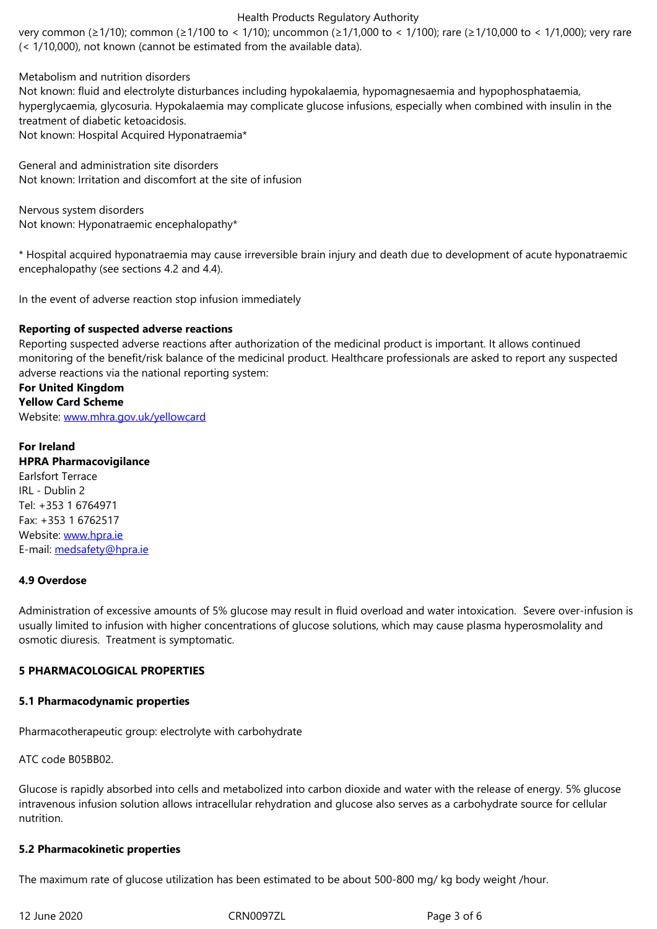Metabolism and nutrition disorders

Not known: fluid and electrolyte disturbances including hypokalaemia, hypomagnesaemia and hypophosphataemia, hyperglycaemia, glycosuria. Hypokalaemia may complicate glucose infusions, especially when combined with insulin in the treatment of diabetic ketoacidosis.

Not known: Hospital Acquired Hyponatraemia\*

General and administration site disorders Not known: Irritation and discomfort at the site of infusion

Nervous system disorders Not known: Hyponatraemic encephalopathy\*

\* Hospital acquired hyponatraemia may cause irreversible brain injury and death due to development of acute hyponatraemic encephalopathy (see sections 4.2 and 4.4).

In the event of adverse reaction stop infusion immediately

#### **Reporting of suspected adverse reactions**

Reporting suspected adverse reactions after authorization of the medicinal product is important. It allows continued monitoring of the benefit/risk balance of the medicinal product. Healthcare professionals are asked to report any suspected adverse reactions via the national reporting system:

# **For United Kingdom Yellow Card Scheme** Website: www.mhra.gov.uk/yellowcard

# **For Ireland HPRA P[harmacovigilance](/workspaces/CRN008QR3/SitePages/www.mhra.gov.uk/yellowcard)** Earlsfort Terrace IRL - Dublin 2 Tel: +353 1 6764971 Fax: +353 1 6762517 Website: www.hpra.ie E-mail: medsafety@hpra.ie

### **4.9 Over[dose](/workspaces/CRN008QR3/SitePages/www.hpra.ie)**

Admini[stration of excessive](/workspaces/CRN008QR3/SitePages/medsafety@hpra.ie) amounts of 5% glucose may result in fluid overload and water intoxication. Severe over-infusion is usually limited to infusion with higher concentrations of glucose solutions, which may cause plasma hyperosmolality and osmotic diuresis. Treatment is symptomatic.

### **5 PHARMACOLOGICAL PROPERTIES**

#### **5.1 Pharmacodynamic properties**

Pharmacotherapeutic group: electrolyte with carbohydrate

ATC code B05BB02.

Glucose is rapidly absorbed into cells and metabolized into carbon dioxide and water with the release of energy. 5% glucose intravenous infusion solution allows intracellular rehydration and glucose also serves as a carbohydrate source for cellular nutrition.

#### **5.2 Pharmacokinetic properties**

The maximum rate of glucose utilization has been estimated to be about 500-800 mg/ kg body weight /hour.

12 June 2020 CRN0097ZL Page 3 of 6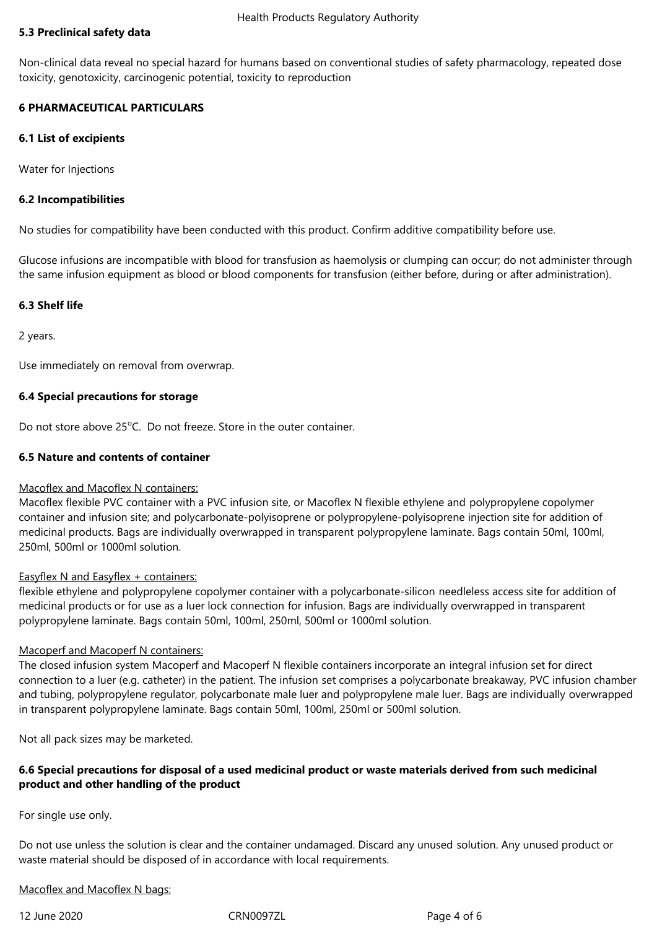# **5.3 Preclinical safety data**

Non-clinical data reveal no special hazard for humans based on conventional studies of safety pharmacology, repeated dose toxicity, genotoxicity, carcinogenic potential, toxicity to reproduction

# **6 PHARMACEUTICAL PARTICULARS**

## **6.1 List of excipients**

Water for Injections

## **6.2 Incompatibilities**

No studies for compatibility have been conducted with this product. Confirm additive compatibility before use.

Glucose infusions are incompatible with blood for transfusion as haemolysis or clumping can occur; do not administer through the same infusion equipment as blood or blood components for transfusion (either before, during or after administration).

# **6.3 Shelf life**

2 years.

Use immediately on removal from overwrap.

# **6.4 Special precautions for storage**

Do not store above 25<sup>o</sup>C. Do not freeze. Store in the outer container.

# **6.5 Nature and contents of container**

### Macoflex and Macoflex N containers:

Macoflex flexible PVC container with a PVC infusion site, or Macoflex N flexible ethylene and polypropylene copolymer container and infusion site; and polycarbonate-polyisoprene or polypropylene-polyisoprene injection site for addition of medicinal products. Bags are individually overwrapped in transparent polypropylene laminate. Bags contain 50ml, 100ml, 250ml, 500ml or 1000ml solution.

### Easyflex N and Easyflex + containers:

flexible ethylene and polypropylene copolymer container with a polycarbonate-silicon needleless access site for addition of medicinal products or for use as a luer lock connection for infusion. Bags are individually overwrapped in transparent polypropylene laminate. Bags contain 50ml, 100ml, 250ml, 500ml or 1000ml solution.

### Macoperf and Macoperf N containers:

The closed infusion system Macoperf and Macoperf N flexible containers incorporate an integral infusion set for direct connection to a luer (e.g. catheter) in the patient. The infusion set comprises a polycarbonate breakaway, PVC infusion chamber and tubing, polypropylene regulator, polycarbonate male luer and polypropylene male luer. Bags are individually overwrapped in transparent polypropylene laminate. Bags contain 50ml, 100ml, 250ml or 500ml solution.

Not all pack sizes may be marketed.

# **6.6 Special precautions for disposal of a used medicinal product or waste materials derived from such medicinal product and other handling of the product**

For single use only.

Do not use unless the solution is clear and the container undamaged. Discard any unused solution. Any unused product or waste material should be disposed of in accordance with local requirements.

Macoflex and Macoflex N bags:

12 June 2020 CRN0097ZL Page 4 of 6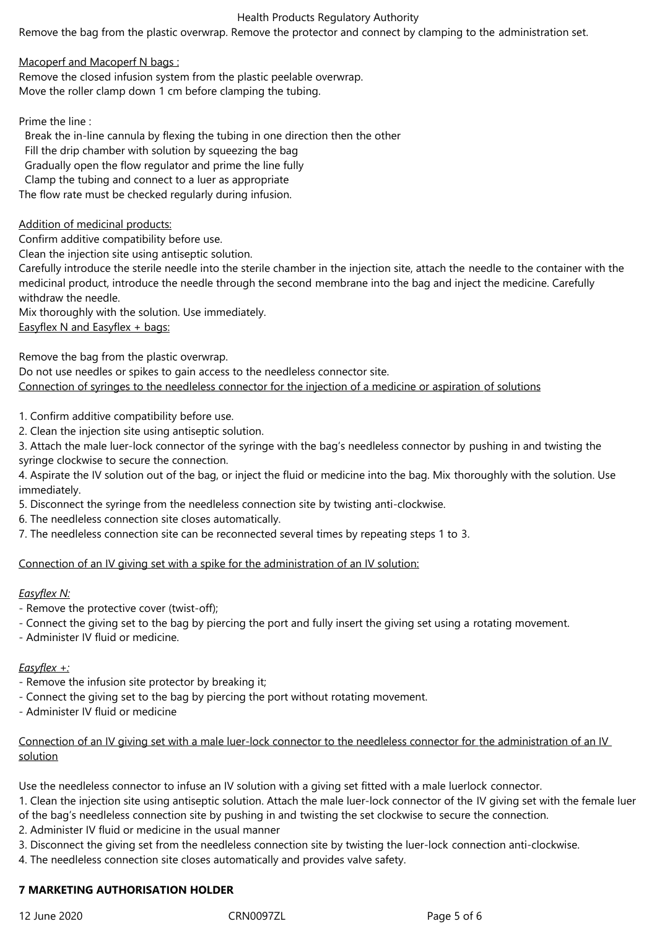# Health Products Regulatory Authority

Remove the bag from the plastic overwrap. Remove the protector and connect by clamping to the administration set.

Macoperf and Macoperf N bags :

Remove the closed infusion system from the plastic peelable overwrap. Move the roller clamp down 1 cm before clamping the tubing.

Prime the line :

 Break the in-line cannula by flexing the tubing in one direction then the other Fill the drip chamber with solution by squeezing the bag Gradually open the flow regulator and prime the line fully Clamp the tubing and connect to a luer as appropriate

The flow rate must be checked regularly during infusion.

Addition of medicinal products:

Confirm additive compatibility before use.

Clean the injection site using antiseptic solution.

Carefully introduce the sterile needle into the sterile chamber in the injection site, attach the needle to the container with the medicinal product, introduce the needle through the second membrane into the bag and inject the medicine. Carefully withdraw the needle

Mix thoroughly with the solution. Use immediately. Easyflex N and Easyflex + bags:

Remove the bag from the plastic overwrap.

Do not use needles or spikes to gain access to the needleless connector site. Connection of syringes to the needleless connector for the injection of a medicine or aspiration of solutions

1. Confirm additive compatibility before use.

2. Clean the injection site using antiseptic solution.

3. Attach the male luer-lock connector of the syringe with the bag's needleless connector by pushing in and twisting the syringe clockwise to secure the connection.

4. Aspirate the IV solution out of the bag, or inject the fluid or medicine into the bag. Mix thoroughly with the solution. Use immediately.

5. Disconnect the syringe from the needleless connection site by twisting anti-clockwise.

6. The needleless connection site closes automatically.

7. The needleless connection site can be reconnected several times by repeating steps 1 to 3.

Connection of an IV giving set with a spike for the administration of an IV solution:

# *Easyflex N:*

- Remove the protective cover (twist-off);
- Connect the giving set to the bag by piercing the port and fully insert the giving set using a rotating movement.
- Administer IV fluid or medicine.

# *Easyflex +:*

- Remove the infusion site protector by breaking it;
- Connect the giving set to the bag by piercing the port without rotating movement.
- Administer IV fluid or medicine

# Connection of an IV giving set with a male luer-lock connector to the needleless connector for the administration of an IV solution

Use the needleless connector to infuse an IV solution with a giving set fitted with a male luerlock connector.

1. Clean the injection site using antiseptic solution. Attach the male luer-lock connector of the IV giving set with the female luer of the bag's needleless connection site by pushing in and twisting the set clockwise to secure the connection.

2. Administer IV fluid or medicine in the usual manner

3. Disconnect the giving set from the needleless connection site by twisting the luer-lock connection anti-clockwise.

4. The needleless connection site closes automatically and provides valve safety.

## **7 MARKETING AUTHORISATION HOLDER**

12 June 2020 CRN0097ZL Page 5 of 6